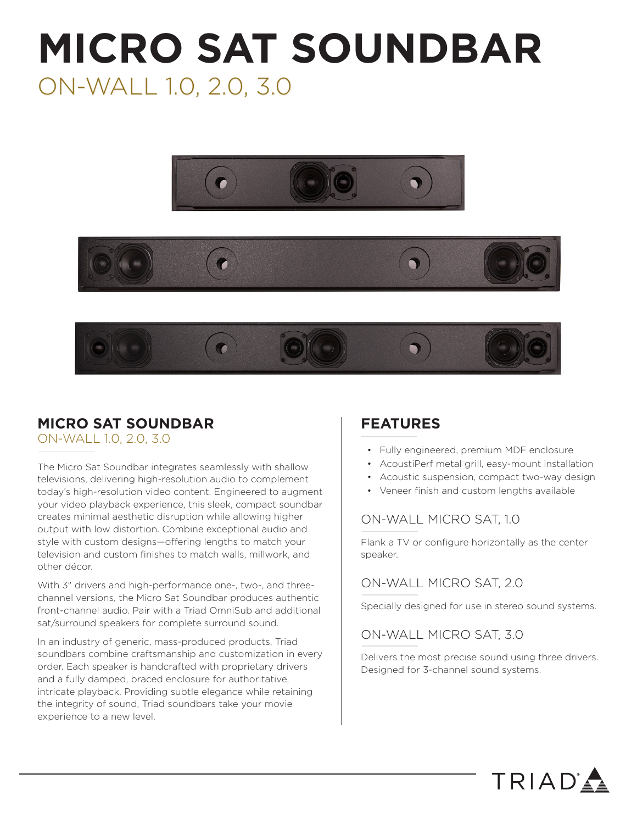# **MICRO SAT SOUNDBAR** ON-WALL 1.0, 2.0, 3.0







### **MICRO SAT SOUNDBAR**

ON-WALL 1.0, 2.0, 3.0

The Micro Sat Soundbar integrates seamlessly with shallow televisions, delivering high-resolution audio to complement today's high-resolution video content. Engineered to augment your video playback experience, this sleek, compact soundbar creates minimal aesthetic disruption while allowing higher output with low distortion. Combine exceptional audio and style with custom designs—offering lengths to match your television and custom finishes to match walls, millwork, and other décor.

With 3" drivers and high-performance one-, two-, and threechannel versions, the Micro Sat Soundbar produces authentic front-channel audio. Pair with a Triad OmniSub and additional sat/surround speakers for complete surround sound.

In an industry of generic, mass-produced products, Triad soundbars combine craftsmanship and customization in every order. Each speaker is handcrafted with proprietary drivers and a fully damped, braced enclosure for authoritative, intricate playback. Providing subtle elegance while retaining the integrity of sound, Triad soundbars take your movie experience to a new level.

### **FEATURES**

- Fully engineered, premium MDF enclosure
- AcoustiPerf metal grill, easy-mount installation
- Acoustic suspension, compact two-way design
- Veneer finish and custom lengths available

#### ON-WALL MICRO SAT, 1.0

Flank a TV or configure horizontally as the center speaker.

### ON-WALL MICRO SAT, 2.0

Specially designed for use in stereo sound systems.

#### ON-WALL MICRO SAT, 3.0

Delivers the most precise sound using three drivers. Designed for 3-channel sound systems.